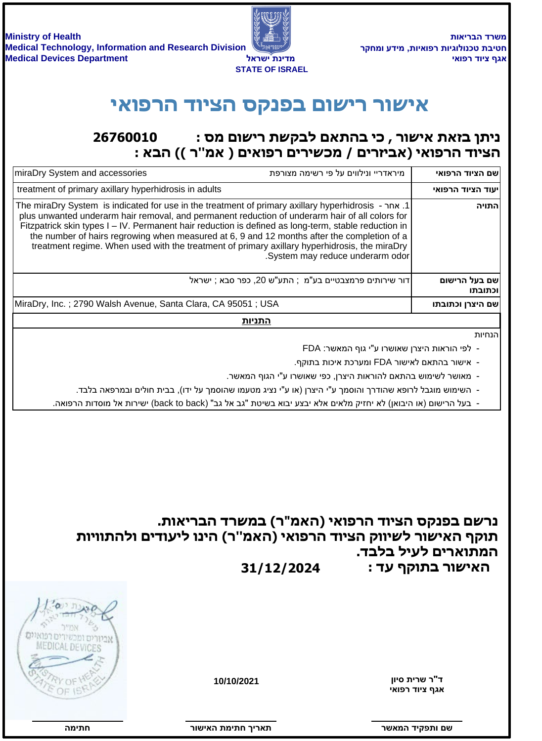**משרד הבריאות ʸʷʧʮʥʲʣʩʮʺʥʩʠʥʴʸʺʥʩʢʥʬʥʰʫʨʺʡʩʨʧ**



## **ʩʠʥʴʸʤʣʥʩʶʤʱʷʰʴʡʭʥʹʩʸʸʥʹʩʠ**

## **26760010 : ניתן בזאת אישור, כי בהתאם לבקשת רישום מס** הציוד הרפואי (אביזרים / מכשירים רפואים ( אמ"ר )) הבא :

| miraDry System and accessories                                                                                                                                                                                                                                                                                                                                                                                                                                                                                 | מיראדריי ונילווים על פי רשימה מצורפת                  | שם הציוד הרפואי          |
|----------------------------------------------------------------------------------------------------------------------------------------------------------------------------------------------------------------------------------------------------------------------------------------------------------------------------------------------------------------------------------------------------------------------------------------------------------------------------------------------------------------|-------------------------------------------------------|--------------------------|
| treatment of primary axillary hyperhidrosis in adults                                                                                                                                                                                                                                                                                                                                                                                                                                                          |                                                       | יעוד הציוד הרפואי        |
| 1. The miraDry System is indicated for use in the treatment of primary axillary hyperhidrosis - אחר<br>plus unwanted underarm hair removal, and permanent reduction of underarm hair of all colors for<br>Fitzpatrick skin types I - IV. Permanent hair reduction is defined as long-term, stable reduction in<br>the number of hairs regrowing when measured at 6, 9 and 12 months after the completion of a<br>treatment regime. When used with the treatment of primary axillary hyperhidrosis, the miraDry | .System may reduce underarm odor                      | התויה                    |
|                                                                                                                                                                                                                                                                                                                                                                                                                                                                                                                | דור שירותים פרמצבטיים בע"מ; התע"ש 20, כפר סבא ; ישראל | שם בעל הרישום<br>וכתובתו |
| MiraDry, Inc.; 2790 Walsh Avenue, Santa Clara, CA 95051; USA                                                                                                                                                                                                                                                                                                                                                                                                                                                   |                                                       | שם היצרן וכתובתו         |
| התניות                                                                                                                                                                                                                                                                                                                                                                                                                                                                                                         |                                                       |                          |

הנחיות

- FDA ו- לפי הוראות היצרן שאושרו ע"י גוף המאשר:
- ישור בהתאם לאישור FDA ומערכת איכות בתוקף.
- ־ מאושר לשימוש בהתאם להוראות היצרן, כפי שאושרו ע"י הגוף המאשר.
- ־ השימוש מוגבל לרופא שהודרך והוסמך ע"י היצרן (או ע"י נציג מטעמו שהוסמך על ידו), בבית חולים ובמרפאה בלבד.
- ישירות אל מוסדות הרפואה. (back to back) בעל הרישום (או היבואן) לא יחזיק מלאים אלא יבצע יבוא בשיטת "גב אל גב"

נרשם בפנקס הציוד הרפואי (האמ"ר) במשרד הבריאות. תוקף האישור לשיווק הציוד הרפואי (האמ"ר) הינו ליעודים ולהתוויות המתוארים לעיל בלבד. **31/12/2024 ʣʲʳʷʥʺʡʸʥʹʩʠʤ**

**ʩʠʥʴʸʣʥʩʶʳʢʠ** ד"ר שרית סיון

**10/10/2021**



**ʸʥʹʩʠʤʺʮʩʺʧʪʩʸʠʺ ʸʹʠʮʤʣʩʷʴʺʥʭʹ**

חתימה